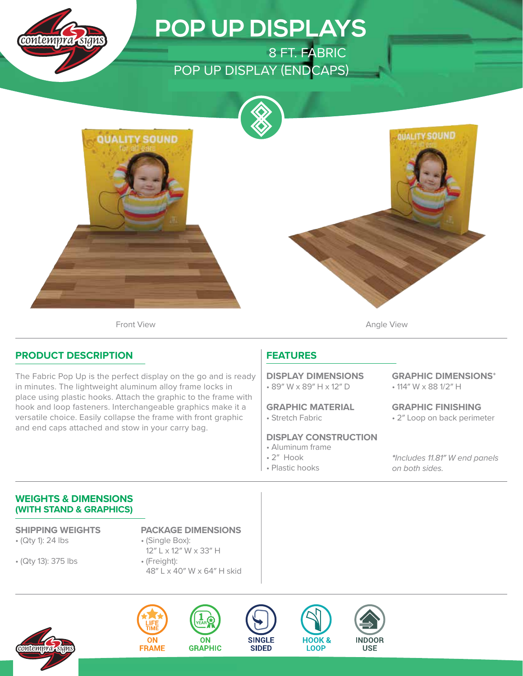

# **POP UP DISPLAYS**

8 FT. FABRIC POP UP DISPLAY (ENDCAPS)





**QUALITY SOUND** 

Front View **Angle View Angle View** 

### **PRODUCT DESCRIPTION**

The Fabric Pop Up is the perfect display on the go and is ready in minutes. The lightweight aluminum alloy frame locks in place using plastic hooks. Attach the graphic to the frame with hook and loop fasteners. Interchangeable graphics make it a versatile choice. Easily collapse the frame with front graphic and end caps attached and stow in your carry bag.

## **FEATURES**

• 89″ W x 89″ H x 12″ D **DISPLAY DIMENSIONS**

• Stretch Fabric **GRAPHIC MATERIAL**

#### **DISPLAY CONSTRUCTION**

- Aluminum frame
- 2″ Hook
- Plastic hooks

• 114″ W x 88 1/2″ H **GRAPHIC DIMENSIONS**\*

• 2″ Loop on back perimeter **GRAPHIC FINISHING**

**\***Includes 11.81″ W end panels on both sides.

### **WEIGHTS & DIMENSIONS (WITH STAND & GRAPHICS)**

• (Qty 1): 24 lbs

• (Qty 13): 375 lbs

**SHIPPING WEIGHTS PACKAGE DIMENSIONS**

- (Single Box): 12″ L x 12″ W x 33″ H • (Freight):
- 48″ L x 40″ W x 64″ H skid











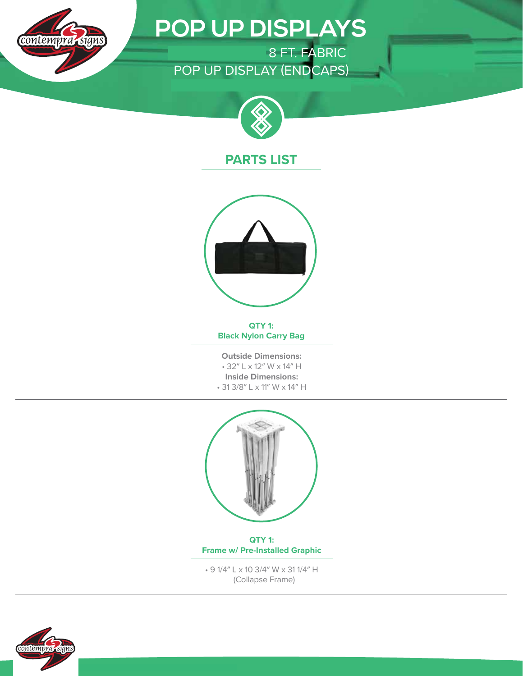

# **POP UP DISPLAYS**

ONE CHOICE 8 FT. FABRIC POP UP DISPLAY (ENDCAPS)



## **PARTS LIST**



**QTY 1: Black Nylon Carry Bag**

**Outside Dimensions:** • 32″ L x 12″ W x 14″ H **Inside Dimensions:** • 31 3/8″ L x 11″ W x 14″ H



**QTY 1: Frame w/ Pre-Installed Graphic**

• 9 1/4″ L x 10 3/4″ W x 31 1/4″ H (Collapse Frame)